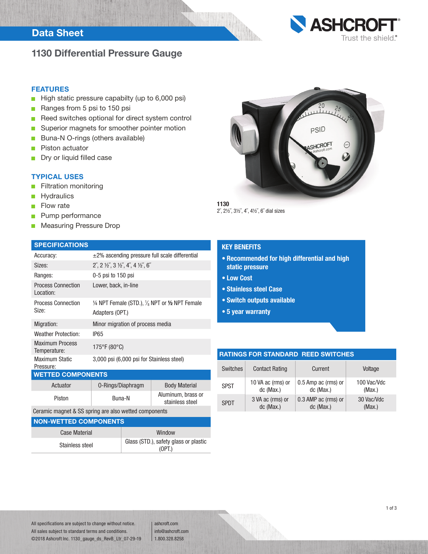# Data Sheet



# 1130 Differential Pressure Gauge

### FEATURES

- $\blacksquare$  High static pressure capabilty (up to 6,000 psi)
- Ranges from 5 psi to 150 psi  $\overline{\phantom{a}}$
- $\overline{\phantom{a}}$ Reed switches optional for direct system control
- $\Box$ Superior magnets for smoother pointer motion
- Buna-N O-rings (others available)  $\overline{\phantom{0}}$
- Piston actuator n.
- Dry or liquid filled case

### TYPICAL USES

- Filtration monitoring  $\Box$
- **Hydraulics**  $\overline{\phantom{a}}$
- Flow rate  $\blacksquare$
- Pump performance n
- ÷. Measuring Pressure Drop

### **SPECIFICATIONS**

| Accuracy:                              | $\pm$ 2% ascending pressure full scale differential                                                                            |  |  |  |  |
|----------------------------------------|--------------------------------------------------------------------------------------------------------------------------------|--|--|--|--|
| Sizes:                                 | $2^{\prime\prime}$ , 2 $\frac{1}{2}^{\prime\prime}$ , 3 $\frac{1}{2}^{\prime\prime}$ , 4", 4 $\frac{1}{2}^{\prime\prime}$ , 6" |  |  |  |  |
| Ranges:                                | 0-5 psi to 150 psi                                                                                                             |  |  |  |  |
| <b>Process Connection</b><br>Location: | Lower, back, in-line                                                                                                           |  |  |  |  |
| <b>Process Connection</b><br>Size:     | $\frac{1}{4}$ NPT Female (STD.), $\frac{1}{8}$ NPT or $\frac{1}{2}$ NPT Female<br>Adapters (OPT.)                              |  |  |  |  |
| Migration:                             | Minor migration of process media                                                                                               |  |  |  |  |
| <b>Weather Protection:</b>             | IP65                                                                                                                           |  |  |  |  |
| <b>Maximum Process</b><br>Temperature: | 175°F (80°C)                                                                                                                   |  |  |  |  |
| <b>Maximum Static</b><br>Pressure:     | 3,000 psi (6,000 psi for Stainless steel)                                                                                      |  |  |  |  |
| <b>WETTED COMPONENTS</b>               |                                                                                                                                |  |  |  |  |
| Actuator                               | 0-Rings/Diaphragm<br><b>Body Material</b>                                                                                      |  |  |  |  |

| Piston | Buna-N | Aluminum, brass or<br>stainless steel |
|--------|--------|---------------------------------------|
|        |        |                                       |

Ceramic magnet & SS spring are also wetted components

| <b>NON-WETTED COMPONENTS</b> |                                                 |  |  |  |  |
|------------------------------|-------------------------------------------------|--|--|--|--|
| Case Material                | Window                                          |  |  |  |  |
| Stainless steel              | Glass (STD.), safety glass or plastic<br>(OPT.) |  |  |  |  |



#### 1130 2˝, 2½˝, 3½˝, 4˝, 4½˝, 6˝ dial sizes

SPDT 3 VA ac (rms) or

dc (Max.)

| <b>KEY BENEFITS</b><br>• Low Cost | static pressure<br>• Stainless steel Case<br>• Switch outputs available<br>• 5 year warranty | • Recommended for high differential and high |                       |
|-----------------------------------|----------------------------------------------------------------------------------------------|----------------------------------------------|-----------------------|
|                                   |                                                                                              | <b>RATINGS FOR STANDARD REED SWITCHES</b>    |                       |
| <b>Switches</b>                   | <b>Contact Rating</b>                                                                        | Current                                      | Voltage               |
| SPST                              | 10 VA ac (rms) or<br>dc (Max.)                                                               | 0.5 Amp ac (rms) or<br>dc (Max.)             | 100 Vac/Vdc<br>(Max.) |

0.3 AMP ac (rms) or dc (Max.)

ashcroft.com info@ashcroft.com 1.800.328.8258

30 Vac/Vdc (Max.)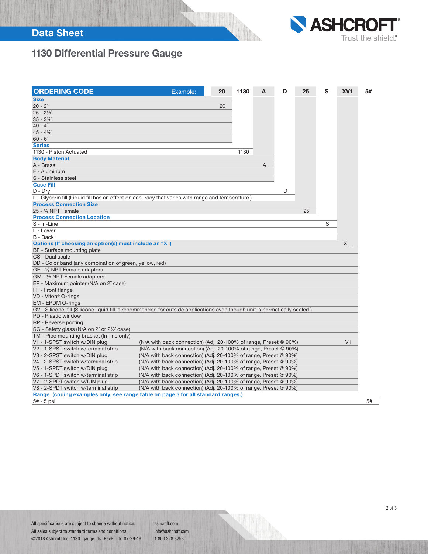# Data Sheet



# 1130 Differential Pressure Gauge

| <b>ORDERING CODE</b>                                                                                                       | Example:                                                         | 20 | 1130 |   | D | 25 | S | XV <sub>1</sub> | 5# |
|----------------------------------------------------------------------------------------------------------------------------|------------------------------------------------------------------|----|------|---|---|----|---|-----------------|----|
| <b>Size</b>                                                                                                                |                                                                  |    |      |   |   |    |   |                 |    |
| $20 - 27$                                                                                                                  |                                                                  | 20 |      |   |   |    |   |                 |    |
| $25 - 2\frac{1}{2}$                                                                                                        |                                                                  |    |      |   |   |    |   |                 |    |
| $35 - 3\frac{1}{2}$                                                                                                        |                                                                  |    |      |   |   |    |   |                 |    |
| $40 - 4"$                                                                                                                  |                                                                  |    |      |   |   |    |   |                 |    |
| $45 - 4\frac{1}{2}$                                                                                                        |                                                                  |    |      |   |   |    |   |                 |    |
| $60 - 6"$                                                                                                                  |                                                                  |    |      |   |   |    |   |                 |    |
| <b>Series</b>                                                                                                              |                                                                  |    |      |   |   |    |   |                 |    |
| 1130 - Piston Actuated                                                                                                     |                                                                  |    | 1130 |   |   |    |   |                 |    |
| <b>Body Material</b>                                                                                                       |                                                                  |    |      |   |   |    |   |                 |    |
| A - Brass                                                                                                                  |                                                                  |    |      | A |   |    |   |                 |    |
| F - Aluminum                                                                                                               |                                                                  |    |      |   |   |    |   |                 |    |
| S - Stainless steel                                                                                                        |                                                                  |    |      |   |   |    |   |                 |    |
| <b>Case Fill</b>                                                                                                           |                                                                  |    |      |   |   |    |   |                 |    |
| $D$ - $Drv$                                                                                                                |                                                                  |    |      |   | D |    |   |                 |    |
| L - Glycerin fill (Liquid fill has an effect on accuracy that varies with range and temperature.)                          |                                                                  |    |      |   |   |    |   |                 |    |
| <b>Process Connection Size</b>                                                                                             |                                                                  |    |      |   |   |    |   |                 |    |
| 25 - 1/4 NPT Female                                                                                                        |                                                                  |    |      |   |   | 25 |   |                 |    |
| <b>Process Connection Location</b>                                                                                         |                                                                  |    |      |   |   |    |   |                 |    |
| S - In-Line                                                                                                                |                                                                  |    |      |   |   |    | S |                 |    |
| L - Lower                                                                                                                  |                                                                  |    |      |   |   |    |   |                 |    |
| B - Back                                                                                                                   |                                                                  |    |      |   |   |    |   |                 |    |
| Options (If choosing an option(s) must include an "X")                                                                     |                                                                  |    |      |   |   |    |   | X.              |    |
| BF - Surface mounting plate                                                                                                |                                                                  |    |      |   |   |    |   |                 |    |
| CS - Dual scale                                                                                                            |                                                                  |    |      |   |   |    |   |                 |    |
| DD - Color band (any combination of green, yellow, red)                                                                    |                                                                  |    |      |   |   |    |   |                 |    |
| GE - 1/8 NPT Female adapters                                                                                               |                                                                  |    |      |   |   |    |   |                 |    |
| GM - 1/2 NPT Female adapters                                                                                               |                                                                  |    |      |   |   |    |   |                 |    |
| EP - Maximum pointer (N/A on 2" case)                                                                                      |                                                                  |    |      |   |   |    |   |                 |    |
| FF - Front flange                                                                                                          |                                                                  |    |      |   |   |    |   |                 |    |
| VD - Viton <sup>®</sup> O-rings                                                                                            |                                                                  |    |      |   |   |    |   |                 |    |
| EM - EPDM O-rings                                                                                                          |                                                                  |    |      |   |   |    |   |                 |    |
| GV - Silicone fill (Silicone liquid fill is recommended for outside applications even though unit is hermetically sealed.) |                                                                  |    |      |   |   |    |   |                 |    |
| PD - Plastic window                                                                                                        |                                                                  |    |      |   |   |    |   |                 |    |
| RP - Reverse porting                                                                                                       |                                                                  |    |      |   |   |    |   |                 |    |
| SG - Safety glass (N/A on 2" or 21/2" case)                                                                                |                                                                  |    |      |   |   |    |   |                 |    |
| TM - Pipe mounting bracket (In-line only)                                                                                  |                                                                  |    |      |   |   |    |   |                 |    |
| V1 - 1-SPST switch w/DIN plug                                                                                              | (N/A with back connection) (Adj. 20-100% of range, Preset @ 90%) |    |      |   |   |    |   | V <sub>1</sub>  |    |
| V2 - 1-SPST switch w/terminal strip                                                                                        | (N/A with back connection) (Adj. 20-100% of range, Preset @ 90%) |    |      |   |   |    |   |                 |    |
| V3 - 2-SPST switch w/DIN plug                                                                                              | (N/A with back connection) (Adj. 20-100% of range, Preset @ 90%) |    |      |   |   |    |   |                 |    |
| V4 - 2-SPST switch w/terminal strip                                                                                        | (N/A with back connection) (Adj. 20-100% of range, Preset @ 90%) |    |      |   |   |    |   |                 |    |
| V5 - 1-SPDT switch w/DIN plug                                                                                              | (N/A with back connection) (Adj. 20-100% of range, Preset @ 90%) |    |      |   |   |    |   |                 |    |
| V6 - 1-SPDT switch w/terminal strip                                                                                        | (N/A with back connection) (Adj. 20-100% of range, Preset @ 90%) |    |      |   |   |    |   |                 |    |
| V7 - 2-SPDT switch w/DIN plug                                                                                              | (N/A with back connection) (Adj. 20-100% of range, Preset @ 90%) |    |      |   |   |    |   |                 |    |
| V8 - 2-SPDT switch w/terminal strip                                                                                        | (N/A with back connection) (Adj. 20-100% of range, Preset @ 90%) |    |      |   |   |    |   |                 |    |
| Range (coding examples only, see range table on page 3 for all standard ranges.)                                           |                                                                  |    |      |   |   |    |   |                 |    |
| 5# - 5 psi                                                                                                                 |                                                                  |    |      |   |   |    |   |                 | 5# |

All specifications are subject to change without notice. All sales subject to standard terms and conditions. ©2018 Ashcroft Inc. 1130\_gauge\_ds\_RevB\_Ltr\_07-29-19

ashcroft.com info@ashcroft.com 1.800.328.8258